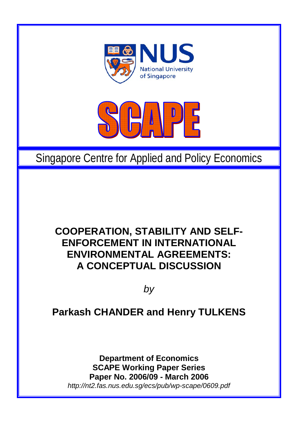



# Singapore Centre for Applied and Policy Economics

## **COOPERATION, STABILITY AND SELF-ENFORCEMENT IN INTERNATIONAL ENVIRONMENTAL AGREEMENTS: A CONCEPTUAL DISCUSSION**

*by* 

## **Parkash CHANDER and Henry TULKENS**

**Department of Economics SCAPE Working Paper Series Paper No. 2006/09 - March 2006**  *http://nt2.fas.nus.edu.sg/ecs/pub/wp-scape/0609.pdf*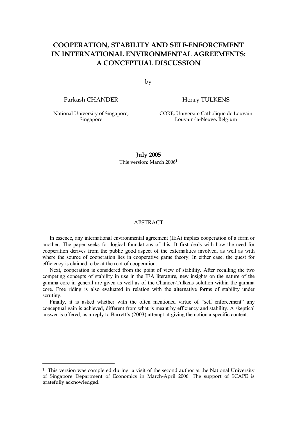## **COOPERATION, STABILITY AND SELF-ENFORCEMENT IN INTERNATIONAL ENVIRONMENTAL AGREEMENTS: A CONCEPTUAL DISCUSSION**

by

Parkash CHANDER

Henry TULKENS

National University of Singapore, Singapore

 $\overline{a}$ 

CORE, Université Catholique de Louvain Louvain-la-Neuve, Belgium

**July 2005**  This version: March 20061

#### ABSTRACT

In essence, any international environmental agreement (IEA) implies cooperation of a form or another. The paper seeks for logical foundations of this. It first deals with how the need for cooperation derives from the public good aspect of the externalities involved, as well as with where the source of cooperation lies in cooperative game theory. In either case, the quest for efficiency is claimed to be at the root of cooperation.

Next, cooperation is considered from the point of view of stability. After recalling the two competing concepts of stability in use in the IEA literature, new insights on the nature of the gamma core in general are given as well as of the Chander-Tulkens solution within the gamma core. Free riding is also evaluated in relation with the alternative forms of stability under scrutiny.

Finally, it is asked whether with the often mentioned virtue of "self enforcement" any conceptual gain is achieved, different from what is meant by efficiency and stability. A skeptical answer is offered, as a reply to Barrett's (2003) attempt at giving the notion a specific content.

<sup>&</sup>lt;sup>1</sup> This version was completed during a visit of the second author at the National University of Singapore Department of Economics in March-April 2006. The support of SCAPE is gratefully acknowledged.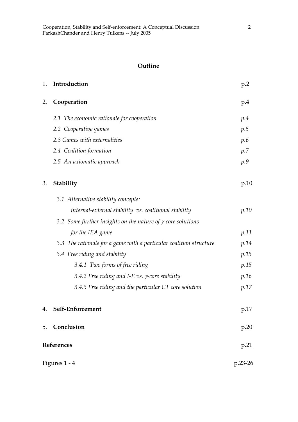## **Outline**

| 1.            | Introduction                                                        | p.2     |
|---------------|---------------------------------------------------------------------|---------|
| 2.            | Cooperation                                                         | p.4     |
|               | 2.1 The economic rationale for cooperation                          | p.4     |
|               | 2.2 Cooperative games                                               | p.5     |
|               | 2.3 Games with externalities                                        | p.6     |
|               | 2.4 Coalition formation                                             | p.7     |
|               | 2.5 An axiomatic approach                                           | p.9     |
| 3.            | Stability                                                           | p.10    |
|               | 3.1 Alternative stability concepts:                                 |         |
|               | internal-external stability vs. coalitional stability               | p.10    |
|               | 3.2 Some further insights on the nature of $\gamma$ -core solutions |         |
|               | for the IEA game                                                    | p.11    |
|               | 3.3 The rationale for a game with a particular coalition structure  | p.14    |
|               | 3.4 Free riding and stability                                       | p.15    |
|               | 3.4.1 Two forms of free riding                                      | p.15    |
|               | 3.4.2 Free riding and I-E vs. $\gamma$ -core stability              | p.16    |
|               | 3.4.3 Free riding and the particular CT core solution               | p.17    |
| 4.            | Self-Enforcement                                                    | p.17    |
| 5.            | Conclusion                                                          | p.20    |
| References    |                                                                     | p.21    |
| Figures 1 - 4 |                                                                     | p.23-26 |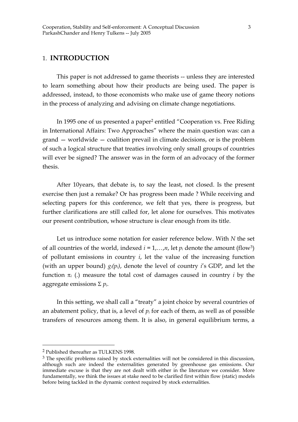## 1. **INTRODUCTION**

 This paper is not addressed to game theorists -- unless they are interested to learn something about how their products are being used. The paper is addressed, instead, to those economists who make use of game theory notions in the process of analyzing and advising on climate change negotiations.

 In 1995 one of us presented a paper2 entitled "Cooperation vs. Free Riding in International Affairs: Two Approaches" where the main question was: can a grand — worldwide — coalition prevail in climate decisions, or is the problem of such a logical structure that treaties involving only small groups of countries will ever be signed? The answer was in the form of an advocacy of the former thesis.

 After 10years, that debate is, to say the least, not closed. Is the present exercise then just a remake? Or has progress been made ? While receiving and selecting papers for this conference, we felt that yes, there is progress, but further clarifications are still called for, let alone for ourselves. This motivates our present contribution, whose structure is clear enough from its title.

 Let us introduce some notation for easier reference below. With *N* the set of all countries of the world, indexed  $i = 1,...,n$ , let  $p_i$  denote the amount (flow<sup>3</sup>) of pollutant emissions in country *i*, let the value of the increasing function (with an upper bound) *gi(pi)*, denote the level of country *i*'s GDP, and let the function  $\pi$ <sub>*i*</sub> (.) measure the total cost of damages caused in country *i* by the aggregate emissions Σ *pi*.

 In this setting, we shall call a "treaty" a joint choice by several countries of an abatement policy, that is, a level of *pi* for each of them, as well as of possible transfers of resources among them. It is also, in general equilibrium terms, a

<sup>2</sup> Published thereafter as TULKENS 1998.

<sup>&</sup>lt;sup>3</sup> The specific problems raised by stock externalities will not be considered in this discussion, although such are indeed the externalities generated by greenhouse gas emissions. Our immediate excuse is that they are not dealt with either in the literature we consider. More fundamentally, we think the issues at stake need to be clarified first within flow (static) models before being tackled in the dynamic context required by stock externalities.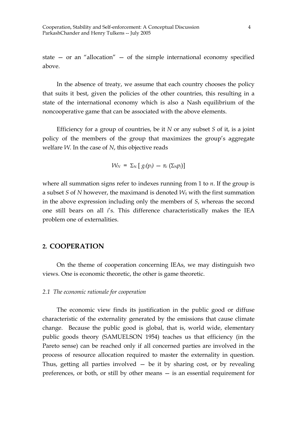state — or an "allocation" — of the simple international economy specified above.

 In the absence of treaty, we assume that each country chooses the policy that suits it best, given the policies of the other countries, this resulting in a state of the international economy which is also a Nash equilibrium of the noncooperative game that can be associated with the above elements.

 Efficiency for a group of countries, be it *N* or any subset *S* of it, is a joint policy of the members of the group that maximizes the group's aggregate welfare *W*. In the case of *N*, this objective reads

$$
W_N = \Sigma_N \left[ g_i(p_i) - \pi_i \left( \Sigma_N p_j \right) \right]
$$

where all summation signs refer to indexes running from 1 to *n*. If the group is a subset *S* of *N* however, the maximand is denoted *WS* with the first summation in the above expression including only the members of *S*, whereas the second one still bears on all *i*'s. This difference characteristically makes the IEA problem one of externalities.

## **2. COOPERATION**

On the theme of cooperation concerning IEAs, we may distinguish two views. One is economic theoretic, the other is game theoretic.

#### *2.1 The economic rationale for cooperation*

 The economic view finds its justification in the public good or diffuse characteristic of the externality generated by the emissions that cause climate change. Because the public good is global, that is, world wide, elementary public goods theory (SAMUELSON 1954) teaches us that efficiency (in the Pareto sense) can be reached only if all concerned parties are involved in the process of resource allocation required to master the externality in question. Thus, getting all parties involved  $-$  be it by sharing cost, or by revealing preferences, or both, or still by other means — is an essential requirement for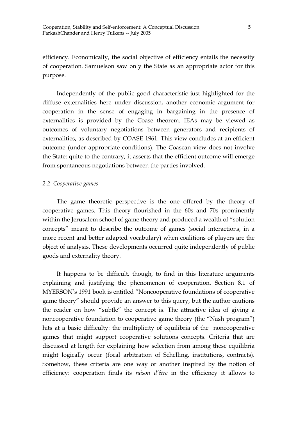efficiency. Economically, the social objective of efficiency entails the necessity of cooperation. Samuelson saw only the State as an appropriate actor for this purpose.

 Independently of the public good characteristic just highlighted for the diffuse externalities here under discussion, another economic argument for cooperation in the sense of engaging in bargaining in the presence of externalities is provided by the Coase theorem. IEAs may be viewed as outcomes of voluntary negotiations between generators and recipients of externalities, as described by COASE 1961. This view concludes at an efficient outcome (under appropriate conditions). The Coasean view does not involve the State: quite to the contrary, it asserts that the efficient outcome will emerge from spontaneous negotiations between the parties involved.

#### *2.2 Cooperative games*

 The game theoretic perspective is the one offered by the theory of cooperative games. This theory flourished in the 60s and 70s prominently within the Jerusalem school of game theory and produced a wealth of "solution concepts" meant to describe the outcome of games (social interactions, in a more recent and better adapted vocabulary) when coalitions of players are the object of analysis. These developments occurred quite independently of public goods and externality theory.

 It happens to be difficult, though, to find in this literature arguments explaining and justifying the phenomenon of cooperation. Section 8.1 of MYERSON's 1991 book is entitled "Noncooperative foundations of cooperative game theory" should provide an answer to this query, but the author cautions the reader on how "subtle" the concept is. The attractive idea of giving a noncooperative foundation to cooperative game theory (the "Nash program") hits at a basic difficulty: the multiplicity of equilibria of the noncooperative games that might support cooperative solutions concepts. Criteria that are discussed at length for explaining how selection from among these equilibria might logically occur (focal arbitration of Schelling, institutions, contracts). Somehow, these criteria are one way or another inspired by the notion of efficiency: cooperation finds its *raison d'être* in the efficiency it allows to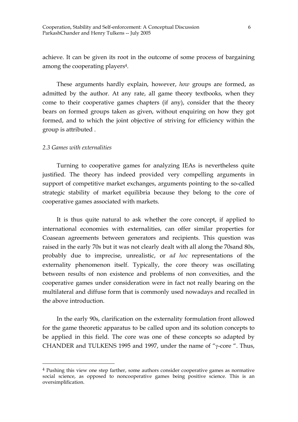achieve. It can be given its root in the outcome of some process of bargaining among the cooperating players<sup>4</sup>.

 These arguments hardly explain, however, *how* groups are formed, as admitted by the author. At any rate, all game theory textbooks, when they come to their cooperative games chapters (if any), consider that the theory bears on formed groups taken as given, without enquiring on how they got formed, and to which the joint objective of striving for efficiency within the group is attributed .

#### *2.3 Games with externalities*

 $\overline{a}$ 

 Turning to cooperative games for analyzing IEAs is nevertheless quite justified. The theory has indeed provided very compelling arguments in support of competitive market exchanges, arguments pointing to the so-called strategic stability of market equilibria because they belong to the core of cooperative games associated with markets.

 It is thus quite natural to ask whether the core concept, if applied to international economies with externalities, can offer similar properties for Coasean agreements between generators and recipients. This question was raised in the early 70s but it was not clearly dealt with all along the 70sand 80s, probably due to imprecise, unrealistic, or *ad hoc* representations of the externality phenomenon itself. Typically, the core theory was oscillating between results of non existence and problems of non convexities, and the cooperative games under consideration were in fact not really bearing on the multilateral and diffuse form that is commonly used nowadays and recalled in the above introduction.

 In the early 90s, clarification on the externality formulation front allowed for the game theoretic apparatus to be called upon and its solution concepts to be applied in this field. The core was one of these concepts so adapted by CHANDER and TULKENS 1995 and 1997, under the name of "γ-core ". Thus,

<sup>4</sup> Pushing this view one step farther, some authors consider cooperative games as normative social science, as opposed to noncooperative games being positive science. This is an oversimplification.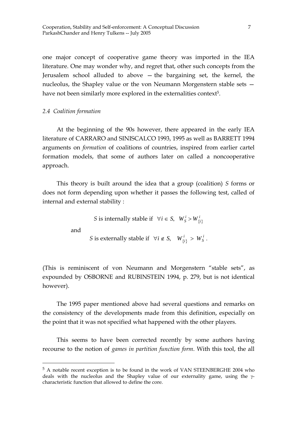one major concept of cooperative game theory was imported in the IEA literature. One may wonder why, and regret that, other such concepts from the Jerusalem school alluded to above — the bargaining set, the kernel, the nucleolus, the Shapley value or the von Neumann Morgenstern stable sets have not been similarly more explored in the externalities context<sup>5</sup>.

*2.4 Coalition formation* 

 At the beginning of the 90s however, there appeared in the early IEA literature of CARRARO and SINISCALCO 1993, 1995 as well as BARRETT 1994 arguments on *formation* of coalitions of countries, inspired from earlier cartel formation models, that some of authors later on called a noncooperative approach.

 This theory is built around the idea that a group (coalition) *S* forms or does not form depending upon whether it passes the following test, called of internal and external stability :

*S* is internally stable if  $\forall i \in S$ ,  $W_S^i > W_{\{i\}}^i$ 

and

 $\overline{a}$ 

*S* is externally stable if  $\forall i \notin S$ ,  $W^{i}_{\{i\}} > W^{i}_{S}$ .

(This is reminiscent of von Neumann and Morgenstern "stable sets", as expounded by OSBORNE and RUBINSTEIN 1994, p. 279, but is not identical however).

 The 1995 paper mentioned above had several questions and remarks on the consistency of the developments made from this definition, especially on the point that it was not specified what happened with the other players.

 This seems to have been corrected recently by some authors having recourse to the notion of *games in partition function form*. With this tool, the all

<sup>5</sup> A notable recent exception is to be found in the work of VAN STEENBERGHE 2004 who deals with the nucleolus and the Shapley value of our externality game, using the γcharacteristic function that allowed to define the core.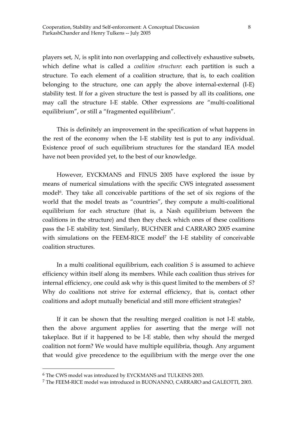players set, *N*, is split into non overlapping and collectively exhaustive subsets, which define what is called a *coalition structure*: each partition is such a structure. To each element of a coalition structure, that is, to each coalition belonging to the structure, one can apply the above internal-external (I-E) stability test. If for a given structure the test is passed by all its coalitions, one may call the structure I-E stable. Other expressions are "multi-coalitional equilibrium", or still a "fragmented equilibrium".

 This is definitely an improvement in the specification of what happens in the rest of the economy when the I-E stability test is put to any individual. Existence proof of such equilibrium structures for the standard IEA model have not been provided yet, to the best of our knowledge.

 However, EYCKMANS and FINUS 2005 have explored the issue by means of numerical simulations with the specific CWS integrated assessment model6. They take all conceivable partitions of the set of six regions of the world that the model treats as "countries", they compute a multi-coalitional equilibrium for each structure (that is, a Nash equilibrium between the coalitions in the structure) and then they check which ones of these coalitions pass the I-E stability test. Similarly, BUCHNER and CARRARO 2005 examine with simulations on the FEEM-RICE model<sup>7</sup> the I-E stability of conceivable coalition structures.

 In a multi coalitional equilibrium, each coalition *S* is assumed to achieve efficiency within itself along its members. While each coalition thus strives for internal efficiency, one could ask why is this quest limited to the members of *S*? Why do coalitions not strive for external efficiency, that is, contact other coalitions and adopt mutually beneficial and still more efficient strategies?

 If it can be shown that the resulting merged coalition is not I-E stable, then the above argument applies for asserting that the merge will not takeplace. But if it happened to be I-E stable, then why should the merged coalition not form? We would have multiple equilibria, though. Any argument that would give precedence to the equilibrium with the merge over the one

<sup>6</sup> The CWS model was introduced by EYCKMANS and TULKENS 2003.

<sup>7</sup> The FEEM-RICE model was introduced in BUONANNO, CARRARO and GALEOTTI, 2003.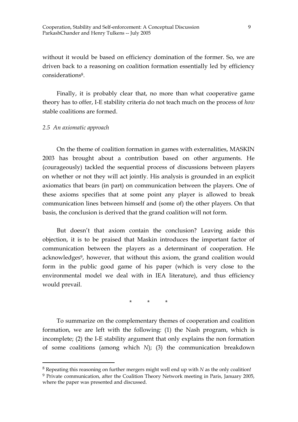without it would be based on efficiency domination of the former. So, we are driven back to a reasoning on coalition formation essentially led by efficiency considerations8.

 Finally, it is probably clear that, no more than what cooperative game theory has to offer, I-E stability criteria do not teach much on the process of *how* stable coalitions are formed.

#### *2.5 An axiomatic approach*

 $\overline{a}$ 

 On the theme of coalition formation in games with externalities, MASKIN 2003 has brought about a contribution based on other arguments. He (courageously) tackled the sequential process of discussions between players on whether or not they will act jointly. His analysis is grounded in an explicit axiomatics that bears (in part) on communication between the players. One of these axioms specifies that at some point any player is allowed to break communication lines between himself and (some of) the other players. On that basis, the conclusion is derived that the grand coalition will not form.

 But doesn't that axiom contain the conclusion? Leaving aside this objection, it is to be praised that Maskin introduces the important factor of communication between the players as a determinant of cooperation. He acknowledges<sup>9</sup>, however, that without this axiom, the grand coalition would form in the public good game of his paper (which is very close to the environmental model we deal with in IEA literature), and thus efficiency would prevail.

\* \* \*

 To summarize on the complementary themes of cooperation and coalition formation, we are left with the following: (1) the Nash program, which is incomplete; (2) the I-E stability argument that only explains the non formation of some coalitions (among which *N*); (3) the communication breakdown

<sup>8</sup> Repeating this reasoning on further mergers might well end up with *N* as the only coalition!

<sup>9</sup> Private communication, after the Coalition Theory Network meeting in Paris, January 2005, where the paper was presented and discussed.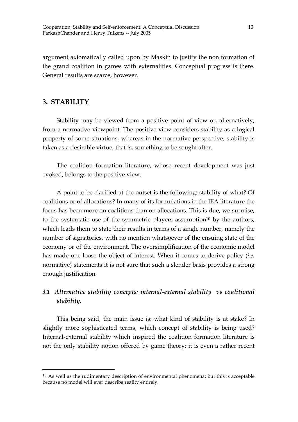argument axiomatically called upon by Maskin to justify the non formation of the grand coalition in games with externalities. Conceptual progress is there. General results are scarce, however.

## **3. STABILITY**

 $\overline{a}$ 

 Stability may be viewed from a positive point of view or, alternatively, from a normative viewpoint. The positive view considers stability as a logical property of some situations, whereas in the normative perspective, stability is taken as a desirable virtue, that is, something to be sought after.

 The coalition formation literature, whose recent development was just evoked, belongs to the positive view.

 A point to be clarified at the outset is the following: stability of what? Of coalitions or of allocations? In many of its formulations in the IEA literature the focus has been more on coalitions than on allocations. This is due, we surmise, to the systematic use of the symmetric players assumption $10$  by the authors, which leads them to state their results in terms of a single number, namely the number of signatories, with no mention whatsoever of the ensuing state of the economy or of the environment. The oversimplification of the economic model has made one loose the object of interest. When it comes to derive policy (*i.e.* normative) statements it is not sure that such a slender basis provides a strong enough justification.

## *3.1 Alternative stability concepts: internal-external stability vs coalitional stability.*

 This being said, the main issue is: what kind of stability is at stake? In slightly more sophisticated terms, which concept of stability is being used? Internal-external stability which inspired the coalition formation literature is not the only stability notion offered by game theory; it is even a rather recent

 $10$  As well as the rudimentary description of environmental phenomena; but this is acceptable because no model will ever describe reality entirely.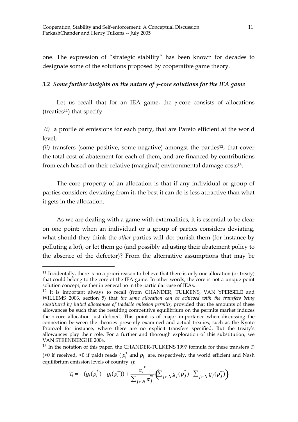one. The expression of "strategic stability" has been known for decades to designate some of the solutions proposed by cooperative game theory.

## *3.2 Some further insights on the nature of* γ*-core solutions for the IEA game*

Let us recall that for an IEA game, the  $\gamma$ -core consists of allocations (treaties<sup>11</sup>) that specify:

*(i)* a profile of emissions for each party, that are Pareto efficient at the world level;

*(ii)* transfers (some positive, some negative) amongst the parties<sup>12</sup>, that cover the total cost of abatement for each of them, and are financed by contributions from each based on their relative (marginal) environmental damage costs<sup>13</sup>.

 The core property of an allocation is that if any individual or group of parties considers deviating from it, the best it can do is less attractive than what it gets in the allocation.

 As we are dealing with a game with externalities, it is essential to be clear on one point: when an individual or a group of parties considers deviating, what should they think the *other* parties will do: punish them (for instance by polluting a lot), or let them go (and possibly adjusting their abatement policy to the absence of the defector)? From the alternative assumptions that may be

$$
T_i = -(g_i(p_i^*) - g_i(p_i^-)) + \frac{\pi_i^{'}^*}{\sum_{j \in N} \pi_j^{'}^*} \left(\sum_{j \in N} g_j(p_j^*) - \sum_{j \in N} g_j(p_j^-)\right)
$$

 $11$  Incidentally, there is no a priori reason to believe that there is only one allocation (or treaty) that could belong to the core of the IEA game. In other words, the core is not a unique point solution concept, neither in general no in the particular case of IEAs.

<sup>&</sup>lt;sup>12</sup> It is important always to recall (from CHANDER, TULKENS, VAN YPERSELE and WILLEMS 2003, section 5) that *the same allocation can be achieved with the transfers being substituted by initial allowances of tradable emission permits*, provided that the amounts of these allowances be such that the resulting competitive equilibrium on the permits market induces the γ-core allocation just defined. This point is of major importance when discussing the connection between the theories presently examined and actual treaties, such as the Kyoto Protocol for instance, where there are no explicit transfers specified. But the treaty's allowances play their role. For a further and thorough exploration of this substitution, see VAN STEENBERGHE 2004.

 $13$  In the notation of this paper, the CHANDER-TULKENS 1997 formula for these transfers  $T_i$ (>0 if received, <0 if paid) reads ( $p_i^*$  and  $p_i^-$  are, respectively, the world efficient and Nash equilibrium emission levels of country *i*):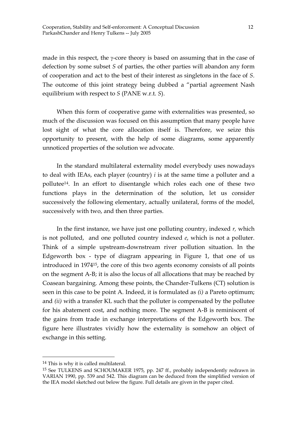made in this respect, the γ-core theory is based on assuming that in the case of defection by some subset *S* of parties, the other parties will abandon any form of cooperation and act to the best of their interest as singletons in the face of *S*. The outcome of this joint strategy being dubbed a "partial agreement Nash equilibrium with respect to *S* (PANE w.r.t. *S*).

 When this form of cooperative game with externalities was presented, so much of the discussion was focused on this assumption that many people have lost sight of what the core allocation itself is. Therefore, we seize this opportunity to present, with the help of some diagrams, some apparently unnoticed properties of the solution we advocate.

 In the standard multilateral externality model everybody uses nowadays to deal with IEAs, each player (country) *i* is at the same time a polluter and a pollutee14. In an effort to disentangle which roles each one of these two functions plays in the determination of the solution, let us consider successively the following elementary, actually unilateral, forms of the model, successively with two, and then three parties.

 In the first instance, we have just one polluting country, indexed *r,* which is not polluted, and one polluted country indexed *e*, which is not a polluter. Think of a simple upstream-downstream river pollution situation. In the Edgeworth box - type of diagram appearing in Figure 1, that one of us introduced in 197415, the core of this two agents economy consists of all points on the segment A-B; it is also the locus of all allocations that may be reached by Coasean bargaining. Among these points, the Chander-Tulkens (CT) solution is seen in this case to be point A. Indeed, it is formulated as *(i)* a Pareto optimum; and *(ii)* with a transfer KL such that the polluter is compensated by the pollutee for his abatement cost, and nothing more. The segment A-B is reminiscent of the gains from trade in exchange interpretations of the Edgeworth box. The figure here illustrates vividly how the externality is somehow an object of exchange in this setting.

<sup>14</sup> This is why it is called multilateral.

<sup>15</sup> See TULKENS and SCHOUMAKER 1975, pp. 247 ff., probably independently redrawn in VARIAN 1990, pp. 539 and 542. This diagram can be deduced from the simplified version of the IEA model sketched out below the figure. Full details are given in the paper cited.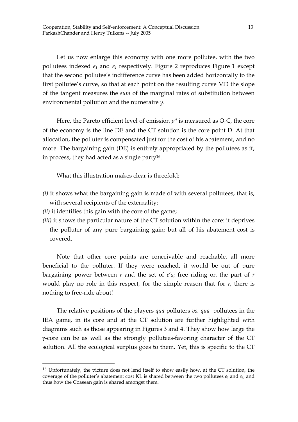Let us now enlarge this economy with one more pollutee, with the two pollutees indexed  $e_1$  and  $e_2$  respectively. Figure 2 reproduces Figure 1 except that the second pollutee's indifference curve has been added horizontally to the first pollutee's curve, so that at each point on the resulting curve MD the slope of the tangent measures the *sum* of the marginal rates of substitution between environmental pollution and the numeraire *y*.

Here, the Pareto efficient level of emission  $p^*$  is measured as  $O<sub>r</sub>C$ , the core of the economy is the line DE and the CT solution is the core point D. At that allocation, the polluter is compensated just for the cost of his abatement, and no more. The bargaining gain (DE) is entirely appropriated by the pollutees as if, in process, they had acted as a single party<sup>16</sup>.

What this illustration makes clear is threefold:

- *(i)* it shows what the bargaining gain is made of with several pollutees, that is, with several recipients of the externality;
- *(ii)* it identifies this gain with the core of the game;

 $\overline{a}$ 

*(iii)* it shows the particular nature of the CT solution within the core: it deprives the polluter of any pure bargaining gain; but all of his abatement cost is covered.

 Note that other core points are conceivable and reachable, all more beneficial to the polluter. If they were reached, it would be out of pure bargaining power between *r* and the set of *e*'s; free riding on the part of *r*  would play no role in this respect, for the simple reason that for *r*, there is nothing to free-ride about!

 The relative positions of the players *qua* polluters *vs. qua* pollutees in the IEA game, in its core and at the CT solution are further highlighted with diagrams such as those appearing in Figures 3 and 4. They show how large the γ-core can be as well as the strongly pollutees-favoring character of the CT solution. All the ecological surplus goes to them. Yet, this is specific to the CT

<sup>&</sup>lt;sup>16</sup> Unfortunately, the picture does not lend itself to show easily how, at the CT solution, the coverage of the polluter's abatement cost KL is shared between the two pollutees  $e_1$  and  $e_2$ , and thus how the Coasean gain is shared amongst them.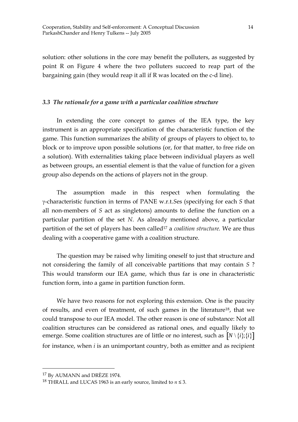solution: other solutions in the core may benefit the polluters, as suggested by point R on Figure 4 where the two polluters succeed to reap part of the bargaining gain (they would reap it all if R was located on the c-d line).

## *3.3 The rationale for a game with a particular coalition structure*

 In extending the core concept to games of the IEA type, the key instrument is an appropriate specification of the characteristic function of the game. This function summarizes the ability of groups of players to object to, to block or to improve upon possible solutions (or, for that matter, to free ride on a solution). With externalities taking place between individual players as well as between groups, an essential element is that the value of function for a given group also depends on the actions of players not in the group.

 The assumption made in this respect when formulating the γ-characteristic function in terms of PANE w.r.t.*S*es (specifying for each *S* that all non-members of *S* act as singletons) amounts to define the function on a particular partition of the set *N*. As already mentioned above, a particular partition of the set of players has been called<sup>17</sup> a *coalition structure*. We are thus dealing with a cooperative game with a coalition structure.

 The question may be raised why limiting oneself to just that structure and not considering the family of all conceivable partitions that may contain *S* ? This would transform our IEA game, which thus far is one in characteristic function form, into a game in partition function form.

 We have two reasons for not exploring this extension. One is the paucity of results, and even of treatment, of such games in the literature18, that we could transpose to our IEA model. The other reason is one of substance: Not all coalition structures can be considered as rational ones, and equally likely to emerge. Some coalition structures are of little or no interest, such as  $N \setminus \{i\}$ ;  $\{i\}$ for instance, when *i* is an unimportant country, both as emitter and as recipient

<sup>17</sup> By AUMANN and DRÈZE 1974.

<sup>&</sup>lt;sup>18</sup> THRALL and LUCAS 1963 is an early source, limited to  $n \leq 3$ .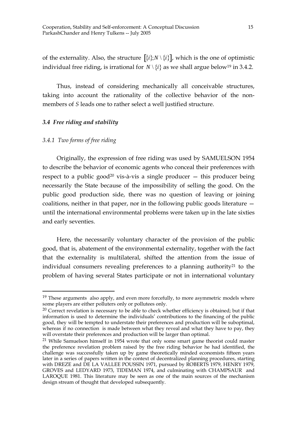of the externality. Also, the structure  $[\{i\}; N \setminus \{i\}]$ , which is the one of optimistic individual free riding, is irrational for  $N \setminus \{i\}$  as we shall argue below<sup>19</sup> in 3.4.2.

 Thus, instead of considering mechanically all conceivable structures, taking into account the rationality of the collective behavior of the nonmembers of *S* leads one to rather select a well justified structure.

## *3.4 Free riding and stability*

## *3.4.1 Two forms of free riding*

 $\overline{a}$ 

 Originally, the expression of free riding was used by SAMUELSON 1954 to describe the behavior of economic agents who conceal their preferences with respect to a public good<sup>20</sup> vis-à-vis a single producer  $-$  this producer being necessarily the State because of the impossibility of selling the good. On the public good production side, there was no question of leaving or joining coalitions, neither in that paper, nor in the following public goods literature until the international environmental problems were taken up in the late sixties and early seventies.

 Here, the necessarily voluntary character of the provision of the public good, that is, abatement of the environmental externality, together with the fact that the externality is multilateral, shifted the attention from the issue of individual consumers revealing preferences to a planning authority<sup>21</sup> to the problem of having several States participate or not in international voluntary

<sup>&</sup>lt;sup>19</sup> These arguments also apply, and even more forcefully, to more asymmetric models where some players are either polluters only or pollutees only.

 $20$  Correct revelation is necessary to be able to check whether efficiency is obtained; but if that information is used to determine the individuals' contributions to the financing of the public good, they will be tempted to understate their preferences and production will be suboptimal, whereas if no connection is made between what they reveal and what they have to pay, they will overstate their preferences and production will be larger than optimal.

<sup>&</sup>lt;sup>21</sup> While Samuelson himself in 1954 wrote that only some smart game theorist could master the preference revelation problem raised by the free riding behavior he had identified, the challenge was successfully taken up by game theoretically minded economists fifteen years later in a series of papers written in the context of decentralized planning procedures, starting with DREZE and DE LA VALLEE POUSSIN 1971, pursued by ROBERTS 1979, HENRY 1979, GROVES and LEDYARD 1973, TIDEMAN 1974, and culminating with CHAMPSAUR and LAROQUE 1981. This literature may be seen as one of the main sources of the mechanism design stream of thought that developed subsequently.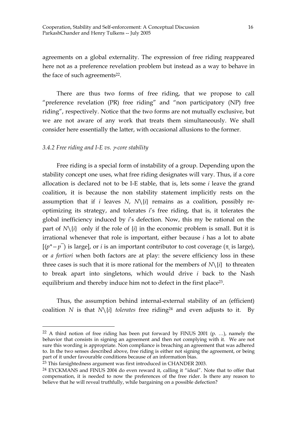agreements on a global externality. The expression of free riding reappeared here not as a preference revelation problem but instead as a way to behave in the face of such agreements<sup>22</sup>.

 There are thus two forms of free riding, that we propose to call "preference revelation (PR) free riding" and "non participatory (NP) free riding", respectively. Notice that the two forms are not mutually exclusive, but we are not aware of any work that treats them simultaneously. We shall consider here essentially the latter, with occasional allusions to the former.

#### *3.4.2 Free riding and I-E vs.* γ*-core stability*

 $\overline{a}$ 

 Free riding is a special form of instability of a group. Depending upon the stability concept one uses, what free riding designates will vary. Thus, if a core allocation is declared not to be I-E stable, that is, lets some *i* leave the grand coalition, it is because the non stability statement implicitly rests on the assumption that if *i* leaves *N*,  $N\{i\}$  remains as a coalition, possibly reoptimizing its strategy, and tolerates *i*'s free riding, that is, it tolerates the global inefficiency induced by *i*'s defection. Now, this my be rational on the part of  $N\{i\}$  only if the role of  $\{i\}$  in the economic problem is small. But it is irrational whenever that role is important, either because *i* has a lot to abate  $[(p^* - p^-)]$  is large], or *i* is an important contributor to cost coverage ( $\pi$ <sub>i</sub> is large), or *a fortiori* when both factors are at play: the severe efficiency loss in these three cases is such that it is more rational for the members of  $N\backslash\{i\}$  to threaten to break apart into singletons, which would drive *i* back to the Nash equilibrium and thereby induce him not to defect in the first place<sup>23</sup>.

 Thus, the assumption behind internal-external stability of an (efficient) coalition *N* is that  $N\{i\}$  *tolerates* free riding<sup>24</sup> and even adjusts to it. By

 $22$  A third notion of free riding has been put forward by FINUS 2001 (p. ...), namely the behavior that consists in signing an agreement and then not complying with it. We are not sure this wording is appropriate. Non compliance is breaching an agreement that was adhered to. In the two senses described above, free riding is either not signing the agreement, or being part of it under favourable conditions because of an information bias.

 $23$  This farsightedness argument was first introduced in CHANDER 2003.

<sup>24</sup> EYCKMANS and FINUS 2004 do even reward it, calling it "ideal". Note that to offer that compensation, it is needed to now the preferences of the free rider. Is there any reason to believe that he will reveal truthfully, while bargaining on a possible defection?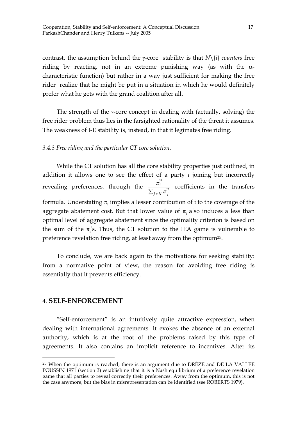contrast, the assumption behind the γ-core stability is that *N*\{*i*} *counters* free riding by reacting, not in an extreme punishing way (as with the  $\alpha$ characteristic function) but rather in a way just sufficient for making the free rider realize that he might be put in a situation in which he would definitely prefer what he gets with the grand coalition after all.

 The strength of the γ-core concept in dealing with (actually, solving) the free rider problem thus lies in the farsighted rationality of the threat it assumes. The weakness of I-E stability is, instead, in that it legimates free riding.

## *3.4.3 Free riding and the particular CT core solution.*

 While the CT solution has all the core stability properties just outlined, in addition it allows one to see the effect of a party *i* joining but incorrectly revealing preferences, through the  $\frac{\pi_i^*}{\pi}$  $\frac{n_i}{\sum_{j \in N} \pi_j^*}$  coefficients in the transfers formula. Understating  $\pi$ <sub>I</sub> implies a lesser contribution of *i* to the coverage of the aggregate abatement cost. But that lower value of  $\pi_i$  also induces a less than optimal level of aggregate abatement since the optimality criterion is based on the sum of the  $\pi$ <sup>'</sup>s. Thus, the CT solution to the IEA game is vulnerable to preference revelation free riding, at least away from the optimum25.

 To conclude, we are back again to the motivations for seeking stability: from a normative point of view, the reason for avoiding free riding is essentially that it prevents efficiency.

#### 4. **SELF-ENFORCEMENT**

 $\overline{a}$ 

 "Self-enforcement" is an intuitively quite attractive expression, when dealing with international agreements. It evokes the absence of an external authority, which is at the root of the problems raised by this type of agreements. It also contains an implicit reference to incentives. After its

 $25$  When the optimum is reached, there is an argument due to DRÈZE and DE LA VALLEE POUSSIN 1971 (section 3) establishing that it is a Nash equilibrium of a preference revelation game that all parties to reveal correctly their preferences. Away from the optimum, this is not the case anymore, but the bias in misrepresentation can be identified (see ROBERTS 1979).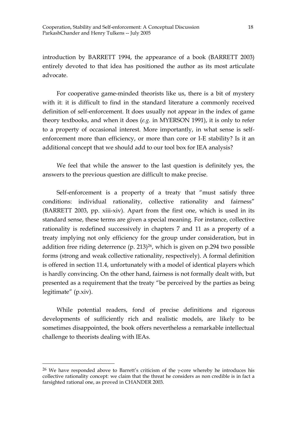introduction by BARRETT 1994, the appearance of a book (BARRETT 2003) entirely devoted to that idea has positioned the author as its most articulate advocate.

 For cooperative game-minded theorists like us, there is a bit of mystery with it: it is difficult to find in the standard literature a commonly received definition of self-enforcement. It does usually not appear in the index of game theory textbooks, and when it does (*e.g.* in MYERSON 1991), it is only to refer to a property of occasional interest. More importantly, in what sense is selfenforcement more than efficiency, or more than core or I-E stability? Is it an additional concept that we should add to our tool box for IEA analysis?

 We feel that while the answer to the last question is definitely yes, the answers to the previous question are difficult to make precise.

 Self-enforcement is a property of a treaty that "must satisfy three conditions: individual rationality, collective rationality and fairness" (BARRETT 2003, pp. xiii-xiv). Apart from the first one, which is used in its standard sense, these terms are given a special meaning. For instance, collective rationality is redefined successively in chapters 7 and 11 as a property of a treaty implying not only efficiency for the group under consideration, but in addition free riding deterrence (p. 213)26, which is given on p.294 two possible forms (strong and weak collective rationality, respectively). A formal definition is offered in section 11.4, unfortunately with a model of identical players which is hardly convincing. On the other hand, fairness is not formally dealt with, but presented as a requirement that the treaty "be perceived by the parties as being legitimate" (p.xiv).

 While potential readers, fond of precise definitions and rigorous developments of sufficiently rich and realistic models, are likely to be sometimes disappointed, the book offers nevertheless a remarkable intellectual challenge to theorists dealing with IEAs.

<sup>&</sup>lt;sup>26</sup> We have responded above to Barrett's criticism of the *γ*-core whereby he introduces his collective rationality concept: we claim that the threat he considers as non credible is in fact a farsighted rational one, as proved in CHANDER 2003.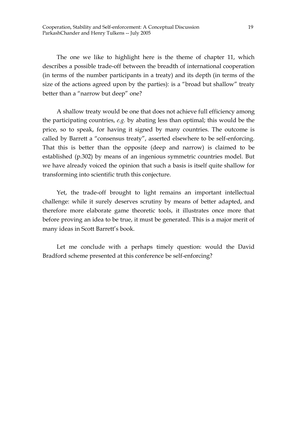The one we like to highlight here is the theme of chapter 11, which describes a possible trade-off between the breadth of international cooperation (in terms of the number participants in a treaty) and its depth (in terms of the size of the actions agreed upon by the parties): is a "broad but shallow" treaty better than a "narrow but deep" one?

 A shallow treaty would be one that does not achieve full efficiency among the participating countries, *e.g.* by abating less than optimal; this would be the price, so to speak, for having it signed by many countries. The outcome is called by Barrett a "consensus treaty", asserted elsewhere to be self-enforcing. That this is better than the opposite (deep and narrow) is claimed to be established (p.302) by means of an ingenious symmetric countries model. But we have already voiced the opinion that such a basis is itself quite shallow for transforming into scientific truth this conjecture.

 Yet, the trade-off brought to light remains an important intellectual challenge: while it surely deserves scrutiny by means of better adapted, and therefore more elaborate game theoretic tools, it illustrates once more that before proving an idea to be true, it must be generated. This is a major merit of many ideas in Scott Barrett's book.

Let me conclude with a perhaps timely question: would the David Bradford scheme presented at this conference be self-enforcing?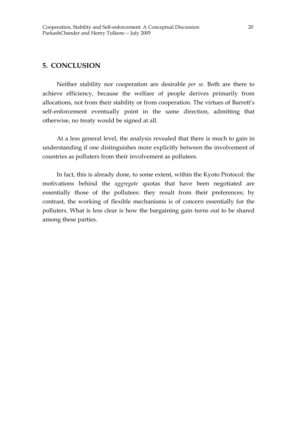## **5. CONCLUSION**

 Neither stability nor cooperation are desirable *per se*. Both are there to achieve efficiency, because the welfare of people derives primarily from allocations, not from their stability or from cooperation. The virtues of Barrett's self-enforcement eventually point in the same direction, admitting that otherwise, no treaty would be signed at all.

 At a less general level, the analysis revealed that there is much to gain in understanding if one distinguishes more explicitly between the involvement of countries as polluters from their involvement as pollutees.

 In fact, this is already done, to some extent, within the Kyoto Protocol: the motivations behind the *aggregate* quotas that have been negotiated are essentially those of the pollutees: they result from their preferences; by contrast, the working of flexible mechanisms is of concern essentially for the polluters. What is less clear is how the bargaining gain turns out to be shared among these parties.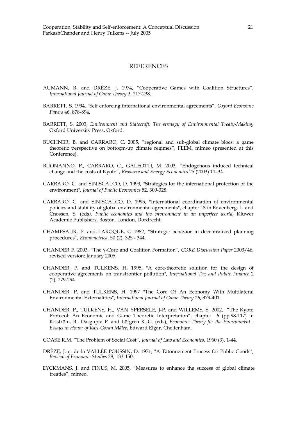#### **REFERENCES**

- AUMANN, R. and DRÈZE, J. 1974, "Cooperative Games with Coalition Structures", *International Journal of Game Theory* 3, 217-238.
- BARRETT, S. 1994, "Self enforcing international environmental agreements", *Oxford Economic Papers* 46, 878-894.
- BARRETT, S. 2003, *Environment and Statecraft: The strategy of Environmental Treaty-Making,*  Oxford University Press, Oxford.
- BUCHNER, B. and CARRARO, C. 2005, "regional and sub-global climate blocs: a game theoretic perspective on bottoçm-up climate regimes", FEEM, mimeo (presented at this Conference).
- BUONANNO, P., CARRARO, C., GALEOTTI, M. 2003, "Endogenous induced technical change and the costs of Kyoto", *Resource and Energy Economics* 25 (2003) 11–34.
- CARRARO, C. and SINISCALCO, D. 1993, "Strategies for the international protection of the environment", *Journal of Public Economics* 52, 309-328.
- CARRARO, C. and SINISCALCO, D. 1995, "International coordination of environmental policies and stability of global environmental agreements", chapter 13 in Bovenberg, L. and Cnossen, S. (eds*), Public economics and the environment in an imperfect world,* Kluwer Academic Publishers, Boston, London, Dordrecht.
- CHAMPSAUR, P. and LAROQUE, G 1982, "Strategic behavior in decentralized planning procedures", *Econometrica*, 50 (2), 325 - 344.
- CHANDER P. 2003, "The γ-Core and Coalition Formation", *CORE Discussion Paper* 2003/46; revised version: January 2005.
- CHANDER, P. and TULKENS, H. 1995, "A core-theoretic solution for the design of cooperative agreements on transfrontier pollution", *International Tax and Public Finance* 2 (2), 279-294.
- CHANDER, P. and TULKENS, H. 1997 "The Core Of An Economy With Multilateral Environmental Externalities", *International Journal of Game Theory* 26, 379-401.
- CHANDER, P., TULKENS, H., VAN YPERSELE, J-P. and WILLEMS, S. 2002, "The Kyoto Protocol: An Economic and Game Theoretic Interpretation", chapter 6 (pp.98-117) in Kriström, B., Dasgupta P. and Löfgren K.-G. (eds), *Economic Theory for the Environment : Essays in Honor of Karl-Göran Mäler*, Edward Elgar, Cheltenham.
- COASE R.M. "The Problem of Social Cost", *Journal of Law and Economics*, 1960 (3), 1-44.
- DRÈZE, J. et de la VALLÉE POUSSIN, D. 1971, "A Tâtonnement Process for Public Goods", *Review of Economic Studies* 38, 133-150.
- EYCKMANS, J. and FINUS, M. 2005, "Measures to enhance the success of global climate treaties", mimeo.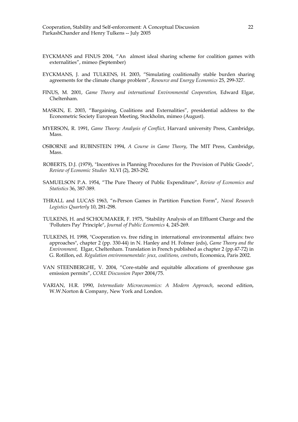- EYCKMANS and FINUS 2004, "An almost ideal sharing scheme for coalition games with externalities", mimeo (September)
- EYCKMANS, J. and TULKENS, H. 2003, "Simulating coalitionally stable burden sharing agreements for the climate change problem", *Resource and Energy Economics* 25, 299-327.
- FINUS, M. 2001, *Game Theory and international Environmental Cooperation,* Edward Elgar, Cheltenham.
- MASKIN, E. 2003, "Bargaining, Coalitions and Externalities", presidential address to the Econometric Society European Meeting, Stockholm, mimeo (August).
- MYERSON, R. 1991, *Game Theory: Analysis of Conflict*, Harvard university Press, Cambridge, Mass.
- OSBORNE and RUBINSTEIN 1994, *A Course in Game Theory*, The MIT Press, Cambridge, Mass.
- ROBERTS, D.J. (1979), "Incentives in Planning Procedures for the Provision of Public Goods", *Review of Economic Studies* XLVI (2), 283-292.
- SAMUELSON P.A. 1954, "The Pure Theory of Public Expenditure", *Review of Economics and Statistics* 36, 387-389.
- THRALL and LUCAS 1963, "n-Person Games in Partition Function Form", *Naval Research Logistics Quarterly* 10, 281-298.
- TULKENS, H. and SCHOUMAKER, F. 1975, "Stability Analysis of an Effluent Charge and the 'Polluters Pay' Principle", *Journal of Public Economics* 4, 245-269.
- TULKENS, H. 1998, "Cooperation vs. free riding in international environmental affairs: two approaches", chapter 2 (pp. 330-44) in N. Hanley and H. Folmer (eds), *Game Theory and the Environment,* Elgar, Cheltenham. Translation in French published as chapter 2 (pp.47-72) in G. Rotillon, ed. *Régulation environnementale: jeux, coalitions, contrats*, Economica, Paris 2002.
- VAN STEENBERGHE, V. 2004, "Core-stable and equitable allocations of greenhouse gas emission permits", *CORE Discussion Paper* 2004/75.
- VARIAN, H.R. 1990, *Intermediate Microeconomics: A Modern Approach*, second edition, W.W.Norton & Company, New York and London.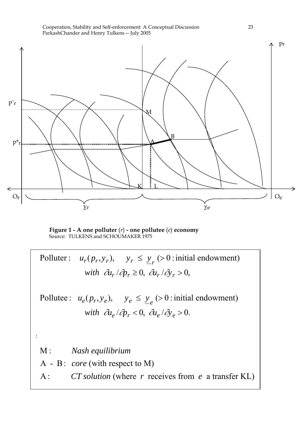



**Figure 1 - A one polluter** (*r*) **- one pollutee** (*e*) **economy** Source: TULKENS and SCHOUMAKER 1975

: Polluter:  $u_r(p_r, y_r)$ ,  $y_r \le y_r$  (> 0 : initial endowment) *with*  $\partial u_r / \partial p_r \geq 0$ ,  $\partial u_r / \partial y_r > 0$ , Pollutee:  $u_e(p_r, y_e)$ ,  $y_e \le y_e > 0$ : initial endowment) *with*  $\partial u_e / \partial p_r < 0$ ,  $\partial u_e / \partial y_e > 0$ . M : *Nash equilibrium* A - B : *core* (with respect to M) A : *CT solution* (where *r* receives from *e* a transfer KL)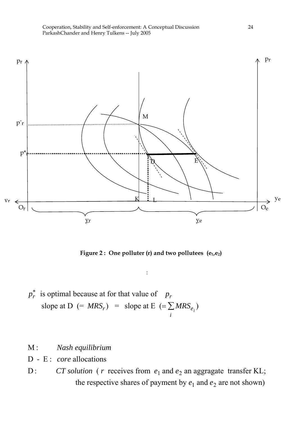



Figure 2 : One polluter (r) and two pollutees (e<sub>1</sub>,e<sub>2</sub>)

:

- $p_r^*$  is optimal because at for that value of *p<sub>r</sub>* slope at D  $(= MRS_r)$  = slope at E  $(=\sum MRS_e)$ *i*  $\sum MRS_{e_i}$
- M : *Nash equilibrium*
- D E : *core* allocations
- D: *CT solution* (*r* receives from  $e_1$  and  $e_2$  an aggragate transfer KL; the respective shares of payment by  $e_1$  and  $e_2$  are not shown)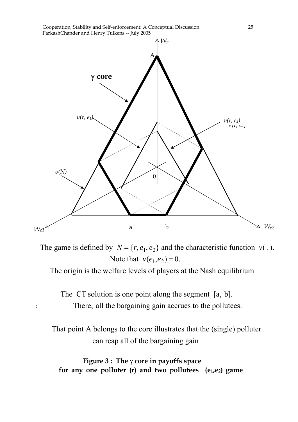

The game is defined by  $N = \{r, e_1, e_2\}$  and the characteristic function  $v(.)$ . Note that  $v(e_1, e_2) = 0$ .

The origin is the welfare levels of players at the Nash equilibrium

The CT solution is one point along the segment [a, b]. There, all the bargaining gain accrues to the pollutees.

:

 That point A belongs to the core illustrates that the (single) polluter can reap all of the bargaining gain

**Figure 3 : The** γ **core in payoffs space**  for any one polluter (r) and two pollutees (e<sub>1</sub>,e<sub>2</sub>) game